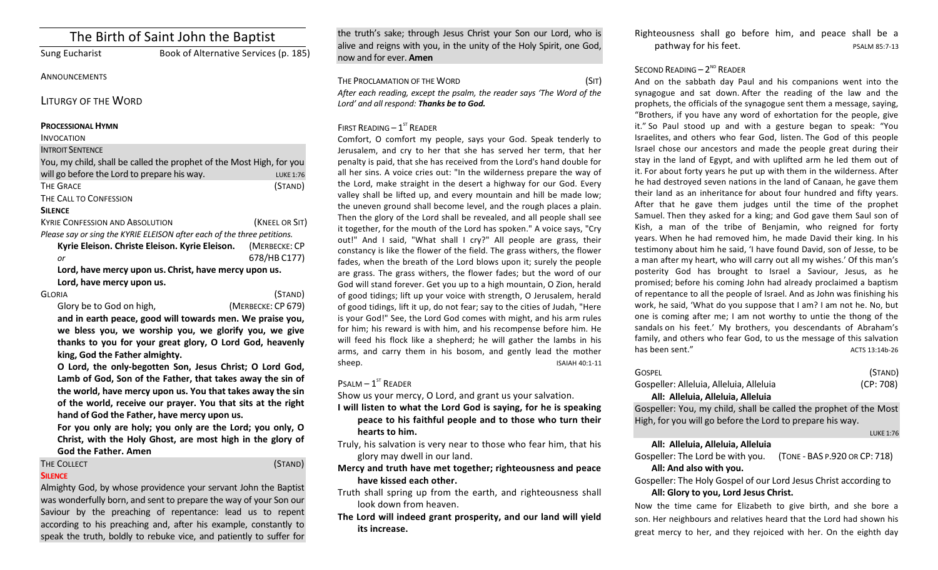# The Birth of Saint John the Baptist

Sung Eucharist Book of Alternative Services (p. 185)

## **ANNOUNCEMENTS**

LITURGY OF THE WORD

#### **PROCESSIONAL HYMN**

### INVOCATION

## **INTROIT SENTENCE**

| You, my child, shall be called the prophet of the Most High, for you    |                  |  |  |
|-------------------------------------------------------------------------|------------------|--|--|
| will go before the Lord to prepare his way.                             | <b>LUKE 1:76</b> |  |  |
| <b>THE GRACE</b>                                                        | (STAND)          |  |  |
| THE CALL TO CONFESSION                                                  |                  |  |  |
| <b>SILENCE</b>                                                          |                  |  |  |
| <b>KYRIE CONFESSION AND ABSOLUTION</b>                                  | (KNEEL OR SIT)   |  |  |
| Please say or sing the KYRIE ELEISON after each of the three petitions. |                  |  |  |
| Kyrie Eleison. Christe Eleison. Kyrie Eleison.                          | (MERBECKE: CP    |  |  |
| or                                                                      | 678/HB C177)     |  |  |
| Lord, have mercy upon us. Christ, have mercy upon us.                   |                  |  |  |
| Lord, have mercy upon us.                                               |                  |  |  |
| GLORIA                                                                  | (STAND)          |  |  |

| - 717                    |  |
|--------------------------|--|
| Glory be to God on high, |  |

(MERBECKE: CP 679)

and in earth peace, good will towards men. We praise you, we bless you, we worship you, we glorify you, we give thanks to you for your great glory, O Lord God, heavenly king, God the Father almighty.

O Lord, the only-begotten Son, Jesus Christ; O Lord God, Lamb of God, Son of the Father, that takes away the sin of the world, have mercy upon us. You that takes away the sin of the world, receive our prayer. You that sits at the right hand of God the Father, have mercy upon us.

For you only are holy; you only are the Lord; you only, O Christ, with the Holy Ghost, are most high in the glory of God the Father. Amen

# THE COLLECT (STAND)

## **SILENCE**

Almighty God, by whose providence your servant John the Baptist was wonderfully born, and sent to prepare the way of your Son our Saviour by the preaching of repentance: lead us to repent according to his preaching and, after his example, constantly to speak the truth, boldly to rebuke vice, and patiently to suffer for

the truth's sake; through Jesus Christ your Son our Lord, who is alive and reigns with you, in the unity of the Holy Spirit, one God, now and for ever. **Amen**

| THE PROCLAMATION OF THE WORD                                           | (Sit) |
|------------------------------------------------------------------------|-------|
| After each reading, except the psalm, the reader says 'The Word of the |       |
| Lord' and all respond: <b>Thanks be to God.</b>                        |       |

## FIRST READING  $-1<sup>ST</sup>$  READER

Comfort, O comfort my people, says your God. Speak tenderly to Jerusalem, and cry to her that she has served her term, that her penalty is paid, that she has received from the Lord's hand double for all her sins. A voice cries out: "In the wilderness prepare the way of the Lord, make straight in the desert a highway for our God. Every valley shall be lifted up, and every mountain and hill be made low; the uneven ground shall become level, and the rough places a plain. Then the glory of the Lord shall be revealed, and all people shall see it together, for the mouth of the Lord has spoken." A voice says, "Cry out!" And I said, "What shall I cry?" All people are grass, their constancy is like the flower of the field. The grass withers, the flower fades, when the breath of the Lord blows upon it; surely the people are grass. The grass withers, the flower fades; but the word of our God will stand forever. Get you up to a high mountain, O Zion, herald of good tidings; lift up your voice with strength, O Jerusalem, herald of good tidings, lift it up, do not fear; say to the cities of Judah, "Here is your God!" See, the Lord God comes with might, and his arm rules for him; his reward is with him, and his recompense before him. He will feed his flock like a shepherd; he will gather the lambs in his arms, and carry them in his bosom, and gently lead the mother sheep. ISAIAH 40:1-11

 $P$ SALM –  $1<sup>ST</sup>$  READER

Show us your mercy, O Lord, and grant us your salvation.

- I will listen to what the Lord God is saying, for he is speaking peace to his faithful people and to those who turn their hearts to him.
- Truly, his salvation is very near to those who fear him, that his glory may dwell in our land.
- **Mercy and truth have met together; righteousness and peace** have kissed each other.
- Truth shall spring up from the earth, and righteousness shall look down from heaven.
- The Lord will indeed grant prosperity, and our land will vield **its increase.**

Righteousness shall go before him, and peace shall be a pathway for his feet. PSALM 85:7-13

## SECOND READING  $- 2^{ND}$  READER

And on the sabbath day Paul and his companions went into the synagogue and sat down. After the reading of the law and the prophets, the officials of the synagogue sent them a message, saying, "Brothers, if you have any word of exhortation for the people, give it." So Paul stood up and with a gesture began to speak: "You Israelites, and others who fear God, listen. The God of this people Israel chose our ancestors and made the people great during their stay in the land of Egypt, and with uplifted arm he led them out of it. For about forty years he put up with them in the wilderness. After he had destroyed seven nations in the land of Canaan, he gave them their land as an inheritance for about four hundred and fifty years. After that he gave them judges until the time of the prophet Samuel. Then they asked for a king; and God gave them Saul son of Kish, a man of the tribe of Benjamin, who reigned for forty years. When he had removed him, he made David their king. In his testimony about him he said, 'I have found David, son of Jesse, to be a man after my heart, who will carry out all my wishes.' Of this man's posterity God has brought to Israel a Saviour, Jesus, as he promised; before his coming John had already proclaimed a baptism of repentance to all the people of Israel. And as John was finishing his work, he said, 'What do you suppose that I am? I am not he. No, but one is coming after me; I am not worthy to untie the thong of the sandals on his feet.' My brothers, you descendants of Abraham's family, and others who fear God, to us the message of this salvation has been sent." ACTS 13:14b-26

| GOSPFI                                                                                                                         |                               | (STAND)          |
|--------------------------------------------------------------------------------------------------------------------------------|-------------------------------|------------------|
| Gospeller: Alleluia, Alleluia, Alleluia                                                                                        |                               | (CP: 708)        |
| All: Alleluia, Alleluia, Alleluia                                                                                              |                               |                  |
| Gospeller: You, my child, shall be called the prophet of the Most<br>High, for you will go before the Lord to prepare his way. |                               |                  |
|                                                                                                                                |                               | <b>LUKE 1:76</b> |
| All: Alleluia, Alleluia, Alleluia<br>Gospeller: The Lord be with you.<br>All: And also with you.                               | (TONE - BAS P.920 OR CP: 718) |                  |

Gospeller: The Holy Gospel of our Lord Jesus Christ according to All: Glory to you, Lord Jesus Christ.

Now the time came for Elizabeth to give birth, and she bore a son. Her neighbours and relatives heard that the Lord had shown his great mercy to her, and they rejoiced with her. On the eighth day